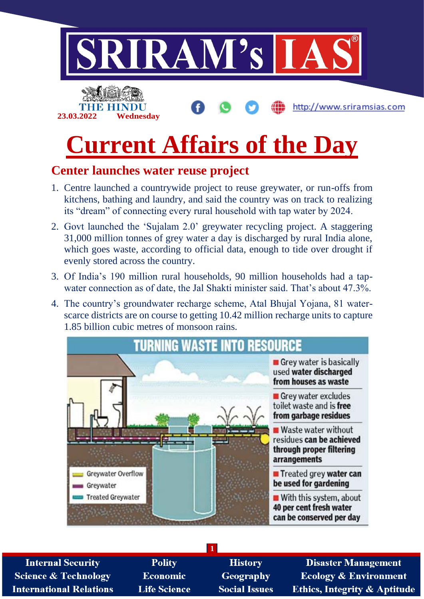

## **Center launches water reuse project**

- 1. Centre launched a countrywide project to reuse greywater, or run-offs from kitchens, bathing and laundry, and said the country was on track to realizing its "dream" of connecting every rural household with tap water by 2024.
- 2. Govt launched the 'Sujalam 2.0' greywater recycling project. A staggering 31,000 million tonnes of grey water a day is discharged by rural India alone, which goes waste, according to official data, enough to tide over drought if evenly stored across the country.
- 3. Of India's 190 million rural households, 90 million households had a tapwater connection as of date, the Jal Shakti minister said. That's about 47.3%.
- 4. The country's groundwater recharge scheme, Atal Bhujal Yojana, 81 waterscarce districts are on course to getting 10.42 million recharge units to capture 1.85 billion cubic metres of monsoon rains.



**1**

**Internal Security Science & Technology International Relations** 

**Polity Economic Life Science** 

**History** Geography **Social Issues** 

**Disaster Management Ecology & Environment Ethics, Integrity & Aptitude**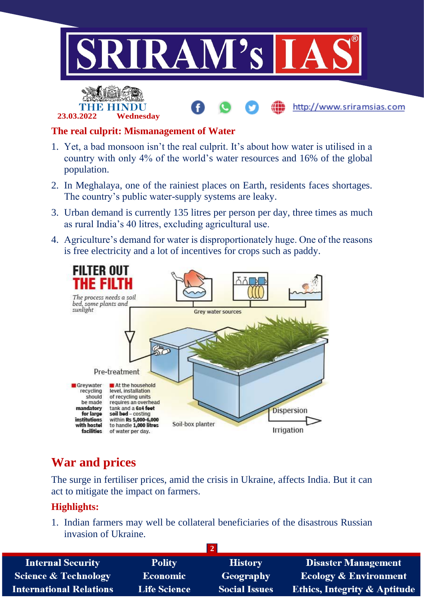

http://www.sriramsias.com



### **The real culprit: Mismanagement of Water**

- 1. Yet, a bad monsoon isn't the real culprit. It's about how water is utilised in a country with only 4% of the world's water resources and 16% of the global population.
- 2. In Meghalaya, one of the rainiest places on Earth, residents faces shortages. The country's public water-supply systems are leaky.
- 3. Urban demand is currently 135 litres per person per day, three times as much as rural India's 40 litres, excluding agricultural use.
- 4. Agriculture's demand for water is disproportionately huge. One of the reasons is free electricity and a lot of incentives for crops such as paddy.



# **War and prices**

The surge in fertiliser prices, amid the crisis in Ukraine, affects India. But it can act to mitigate the impact on farmers.

## **Highlights:**

1. Indian farmers may well be collateral beneficiaries of the disastrous Russian invasion of Ukraine.

| <b>Internal Security</b>        | <b>Polity</b>       | <b>History</b>       | <b>Disaster Management</b>              |
|---------------------------------|---------------------|----------------------|-----------------------------------------|
| <b>Science &amp; Technology</b> | <b>Economic</b>     | Geography            | <b>Ecology &amp; Environment</b>        |
| <b>International Relations</b>  | <b>Life Science</b> | <b>Social Issues</b> | <b>Ethics, Integrity &amp; Aptitude</b> |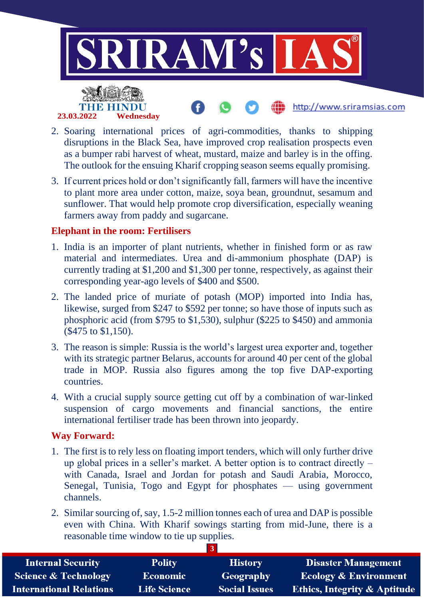

- 2. Soaring international prices of agri-commodities, thanks to shipping disruptions in the Black Sea, have improved crop realisation prospects even as a bumper rabi harvest of wheat, mustard, maize and barley is in the offing. The outlook for the ensuing Kharif cropping season seems equally promising.
- 3. If current prices hold or don't significantly fall, farmers will have the incentive to plant more area under cotton, maize, soya bean, groundnut, sesamum and sunflower. That would help promote crop diversification, especially weaning farmers away from paddy and sugarcane.

### **Elephant in the room: Fertilisers**

- 1. India is an importer of plant nutrients, whether in finished form or as raw material and intermediates. Urea and di-ammonium phosphate (DAP) is currently trading at \$1,200 and \$1,300 per tonne, respectively, as against their corresponding year-ago levels of \$400 and \$500.
- 2. The landed price of muriate of potash (MOP) imported into India has, likewise, surged from \$247 to \$592 per tonne; so have those of inputs such as phosphoric acid (from \$795 to \$1,530), sulphur (\$225 to \$450) and ammonia (\$475 to \$1,150).
- 3. The reason is simple: Russia is the world's largest urea exporter and, together with its strategic partner Belarus, accounts for around 40 per cent of the global trade in MOP. Russia also figures among the top five DAP-exporting countries.
- 4. With a crucial supply source getting cut off by a combination of war-linked suspension of cargo movements and financial sanctions, the entire international fertiliser trade has been thrown into jeopardy.

## **Way Forward:**

- 1. The first is to rely less on floating import tenders, which will only further drive up global prices in a seller's market. A better option is to contract directly – with Canada, Israel and Jordan for potash and Saudi Arabia, Morocco, Senegal, Tunisia, Togo and Egypt for phosphates — using government channels.
- 2. Similar sourcing of, say, 1.5-2 million tonnes each of urea and DAP is possible even with China. With Kharif sowings starting from mid-June, there is a reasonable time window to tie up supplies.

|                                 |                     | 3                    |                                         |
|---------------------------------|---------------------|----------------------|-----------------------------------------|
| <b>Internal Security</b>        | <b>Polity</b>       | <b>History</b>       | <b>Disaster Management</b>              |
| <b>Science &amp; Technology</b> | <b>Economic</b>     | <b>Geography</b>     | <b>Ecology &amp; Environment</b>        |
| <b>International Relations</b>  | <b>Life Science</b> | <b>Social Issues</b> | <b>Ethics, Integrity &amp; Aptitude</b> |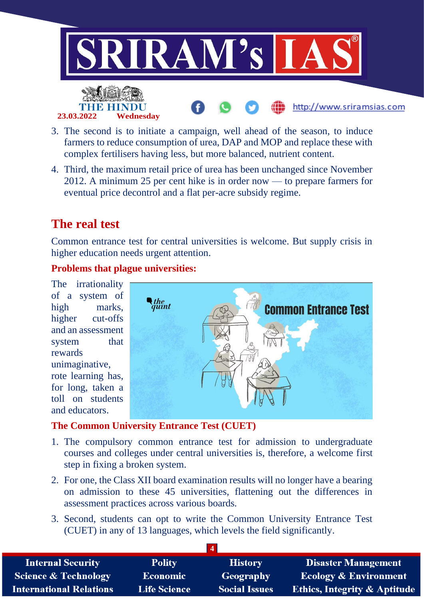

- 3. The second is to initiate a campaign, well ahead of the season, to induce farmers to reduce consumption of urea, DAP and MOP and replace these with complex fertilisers having less, but more balanced, nutrient content.
- 4. Third, the maximum retail price of urea has been unchanged since November 2012. A minimum 25 per cent hike is in order now — to prepare farmers for eventual price decontrol and a flat per-acre subsidy regime.

## **The real test**

**23.03.2022 Wednesday**

Common entrance test for central universities is welcome. But supply crisis in higher education needs urgent attention.

### **Problems that plague universities:**

The irrationality of a system of high marks, higher cut-offs and an assessment system that rewards unimaginative, rote learning has, for long, taken a toll on students and educators.



### **The Common University Entrance Test (CUET)**

- 1. The compulsory common entrance test for admission to undergraduate courses and colleges under central universities is, therefore, a welcome first step in fixing a broken system.
- 2. For one, the Class XII board examination results will no longer have a bearing on admission to these 45 universities, flattening out the differences in assessment practices across various boards.
- 3. Second, students can opt to write the Common University Entrance Test (CUET) in any of 13 languages, which levels the field significantly.

| <b>Internal Security</b>        | <b>Polity</b>       | <b>History</b>       | <b>Disaster Management</b>              |
|---------------------------------|---------------------|----------------------|-----------------------------------------|
| <b>Science &amp; Technology</b> | <b>Economic</b>     | Geography            | <b>Ecology &amp; Environment</b>        |
| <b>International Relations</b>  | <b>Life Science</b> | <b>Social Issues</b> | <b>Ethics, Integrity &amp; Aptitude</b> |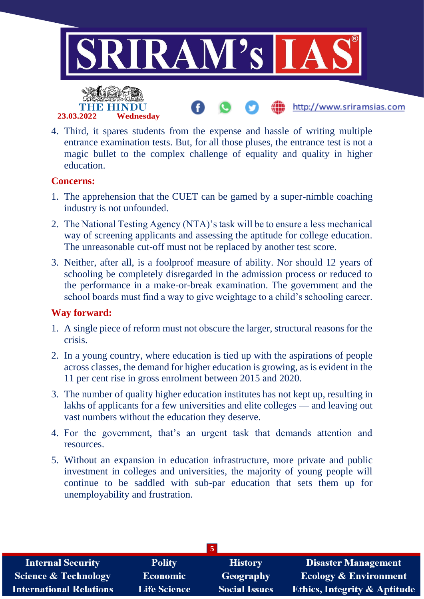

4. Third, it spares students from the expense and hassle of writing multiple entrance examination tests. But, for all those pluses, the entrance test is not a magic bullet to the complex challenge of equality and quality in higher education.

#### **Concerns:**

- 1. The apprehension that the CUET can be gamed by a super-nimble coaching industry is not unfounded.
- 2. The National Testing Agency (NTA)'s task will be to ensure a less mechanical way of screening applicants and assessing the aptitude for college education. The unreasonable cut-off must not be replaced by another test score.
- 3. Neither, after all, is a foolproof measure of ability. Nor should 12 years of schooling be completely disregarded in the admission process or reduced to the performance in a make-or-break examination. The government and the school boards must find a way to give weightage to a child's schooling career.

### **Way forward:**

- 1. A single piece of reform must not obscure the larger, structural reasons for the crisis.
- 2. In a young country, where education is tied up with the aspirations of people across classes, the demand for higher education is growing, as is evident in the 11 per cent rise in gross enrolment between 2015 and 2020.
- 3. The number of quality higher education institutes has not kept up, resulting in lakhs of applicants for a few universities and elite colleges — and leaving out vast numbers without the education they deserve.
- 4. For the government, that's an urgent task that demands attention and resources.
- 5. Without an expansion in education infrastructure, more private and public investment in colleges and universities, the majority of young people will continue to be saddled with sub-par education that sets them up for unemployability and frustration.

| $\overline{5}$                  |                     |                      |                                         |
|---------------------------------|---------------------|----------------------|-----------------------------------------|
| <b>Internal Security</b>        | <b>Polity</b>       | <b>History</b>       | Disaster Management                     |
| <b>Science &amp; Technology</b> | <b>Economic</b>     | Geography            | <b>Ecology &amp; Environment</b>        |
| <b>International Relations</b>  | <b>Life Science</b> | <b>Social Issues</b> | <b>Ethics, Integrity &amp; Aptitude</b> |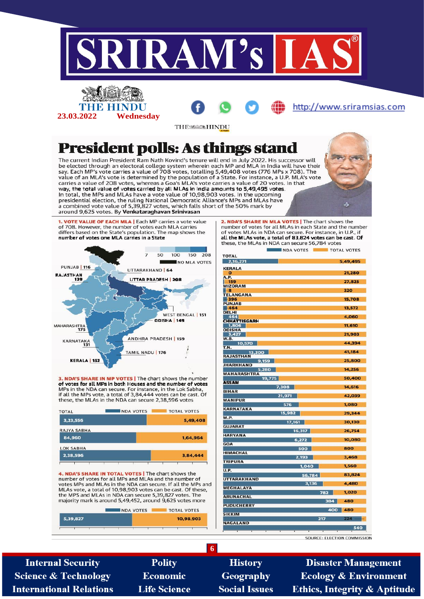

4. NDA'S SHARE IN TOTAL VOTES | The chart shows the number of votes for all MPs and MLAs and the number of votes MPs and MLAs in the NDA can secure. If all the MPs and<br>MLAs vote, a total of 10,98,903 votes can be cast. Of these, the MPS and MLAs in NDA can secure 5,39,827 votes. The majority mark is around 5,49,452, around 9,625 votes more

| <b>NDA VOTES</b> |  | <b>TOTAL VOTES</b> |  |
|------------------|--|--------------------|--|
| 5,39,827         |  | 10,98,903          |  |
|                  |  |                    |  |

SOURCE: ELECTION COMMISSION

3.136

**Internal Security Science & Technology International Relations** 

**Polity Economic Life Science** 

**History** Geography **Social Issues** 

**UTTARAKHAND** 

**MEGHALAYA** 

**ARIINACHAL** 

**PUDUCHERRY** 

**SIKKIM NAGALAND** 

**6**

**Disaster Management Ecology & Environment Ethics, Integrity & Aptitude** 

4.480

1.020

480

480